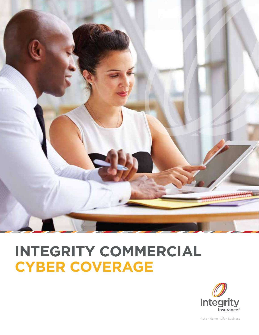

# **INTEGRITY COMMERCIAL CYBER COVERAGE**



Auto · Home · Life · Business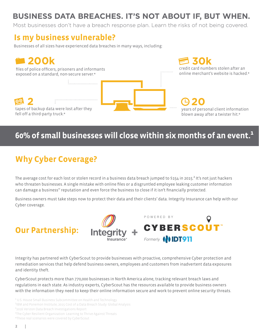## **BUSINESS DATA BREACHES. IT'S NOT ABOUT IF, BUT WHEN.**

Most businesses don't have a breach response plan. Learn the risks of not being covered.

### **Is my business vulnerable?**

Businesses of all sizes have experienced data breaches in many ways, including:



### **60% of small businesses will close within six months of an event.¹**

# **Why Cyber Coverage?**

The average cost for each lost or stolen record in a business data breach jumped to \$154 in 2015.<sup>2</sup> It's not just hackers who threaten businesses. A single mistake with online files or a disgruntled employee leaking customer information can damage a business'' reputation and even force the business to close if it isn't financially protected.

Business owners must take steps now to protect their data and their clients' data. Integrity Insurance can help with our Cyber coverage.

### **Our Partnership:**



Integrity has partnered with CyberScout to provide businesses with proactive, comprehensive Cyber protection and remediation services that help defend business owners, employees and customers from inadvertent data exposures and identity theft.

CyberScout protects more than 770,000 businesses in North America alone, tracking relevant breach laws and regulations in each state. As industry experts, CyberScout has the resources available to provide business owners with the information they need to keep their online information secure and work to prevent online security threats.

<sup>1</sup> U.S. House Small Business Subcommittee on Health and Technology

²IBM and Ponemon Institute, 2015 Cost of a Data Breach Study: Global Analysis

<sup>3</sup>2016 Verizon Data Breach Investigations Report

⁴The Cyber Resilient Organization: Learning to Thrive Against Threats

\*These real scenarios were covered by CyberScout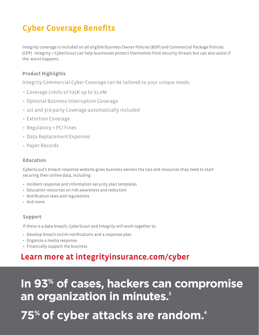# **Cyber Coverage Benefits**

Integrity coverage is included on all eligible Business Owner Policies (BOP) and Commercial Package Policies (CPP). Integrity + CyberScout can help businesses protect themselves from security threats but can also assist if the worst happens.

#### **Product Highlights**

Integrity Commercial Cyber Coverage can be tailored to your unique needs:

- Coverage Limits of \$25K up to \$1.0M
- Optional Business Interruption Coverage
- 1st and 3rd-party Coverage automatically included
- Extortion Coverage
- Regulatory + PCI Fines
- Data Replacement Expenses
- Paper Records

#### **Education**

CyberScout's breach response website gives business owners the tips and resources they need to start securing their online data, including:

- Incident response and information security plan templates
- Education resources on risk awareness and reduction
- Notification laws and regulations
- And more

#### **Support**

If there is a data breach, CyberScout and Integrity will work together to:

- Develop breach victim notifications and a response plan
- Organize a media response
- Financially support the business

### **Learn more at integrityinsurance.com/cyber**

**In 93% of cases, hackers can compromise an organization in minutes. 3**

# **75% of cyber attacks are random.4**